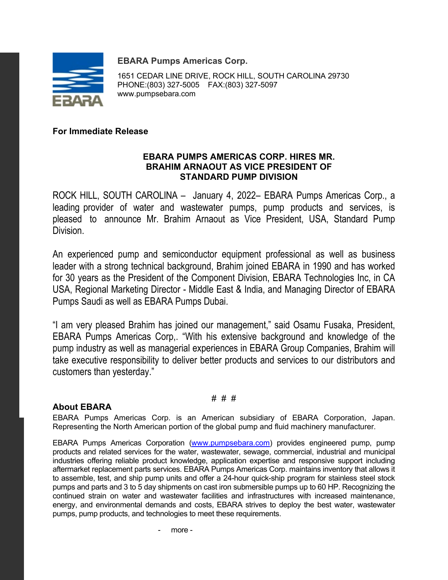**EBARA Pumps Americas Corp.**



1651 CEDAR LINE DRIVE, ROCK HILL, SOUTH CAROLINA 29730 PHONE:(803) 327-5005 FAX:(803) 327-5097 www.pumpsebara.com

## **For Immediate Release**

### **EBARA PUMPS AMERICAS CORP. HIRES MR. BRAHIM ARNAOUT AS VICE PRESIDENT OF STANDARD PUMP DIVISION**

ROCK HILL, SOUTH CAROLINA – January 4, 2022– EBARA Pumps Americas Corp., a leading provider of water and wastewater pumps, pump products and services, is pleased to announce Mr. Brahim Arnaout as Vice President, USA, Standard Pump Division.

An experienced pump and semiconductor equipment professional as well as business leader with a strong technical background, Brahim joined EBARA in 1990 and has worked for 30 years as the President of the Component Division, EBARA Technologies Inc, in CA USA, Regional Marketing Director - Middle East & India, and Managing Director of EBARA Pumps Saudi as well as EBARA Pumps Dubai.

"I am very pleased Brahim has joined our management," said Osamu Fusaka, President, EBARA Pumps Americas Corp,. "With his extensive background and knowledge of the pump industry as well as managerial experiences in EBARA Group Companies, Brahim will take executive responsibility to deliver better products and services to our distributors and customers than yesterday."

#### # # #

### **About EBARA**

EBARA Pumps Americas Corp. is an American subsidiary of EBARA Corporation, Japan. Representing the North American portion of the global pump and fluid machinery manufacturer.

EBARA Pumps Americas Corporation [\(www.pumpsebara.com\)](http://www.pumpsebara.com/) provides engineered pump, pump products and related services for the water, wastewater, sewage, commercial, industrial and municipal industries offering reliable product knowledge, application expertise and responsive support including aftermarket replacement parts services. EBARA Pumps Americas Corp. maintains inventory that allows it to assemble, test, and ship pump units and offer a 24-hour quick-ship program for stainless steel stock pumps and parts and 3 to 5 day shipments on cast iron submersible pumps up to 60 HP. Recognizing the continued strain on water and wastewater facilities and infrastructures with increased maintenance, energy, and environmental demands and costs, EBARA strives to deploy the best water, wastewater pumps, pump products, and technologies to meet these requirements.